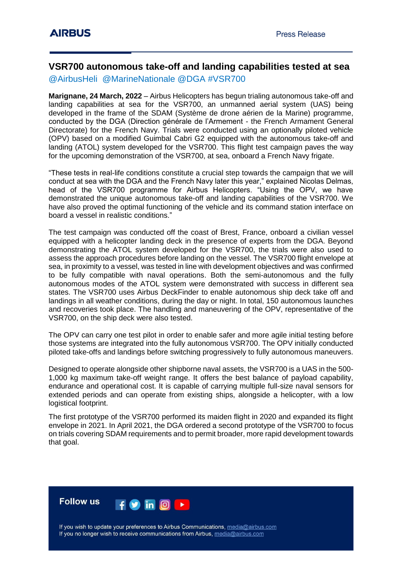## **VSR700 autonomous take-off and landing capabilities tested at sea**

@AirbusHeli @MarineNationale @DGA #VSR700

**Marignane, 24 March, 2022** – Airbus Helicopters has begun trialing autonomous take-off and landing capabilities at sea for the VSR700, an unmanned aerial system (UAS) being developed in the frame of the SDAM (Système de drone aérien de la Marine) programme, conducted by the DGA (Direction générale de l'Armement - the French Armament General Directorate) for the French Navy. Trials were conducted using an optionally piloted vehicle (OPV) based on a modified Guimbal Cabri G2 equipped with the autonomous take-off and landing (ATOL) system developed for the VSR700. This flight test campaign paves the way for the upcoming demonstration of the VSR700, at sea, onboard a French Navy frigate.

"These tests in real-life conditions constitute a crucial step towards the campaign that we will conduct at sea with the DGA and the French Navy later this year," explained Nicolas Delmas, head of the VSR700 programme for Airbus Helicopters. "Using the OPV, we have demonstrated the unique autonomous take-off and landing capabilities of the VSR700. We have also proved the optimal functioning of the vehicle and its command station interface on board a vessel in realistic conditions."

The test campaign was conducted off the coast of Brest, France, onboard a civilian vessel equipped with a helicopter landing deck in the presence of experts from the DGA. Beyond demonstrating the ATOL system developed for the VSR700, the trials were also used to assess the approach procedures before landing on the vessel. The VSR700 flight envelope at sea, in proximity to a vessel, was tested in line with development objectives and was confirmed to be fully compatible with naval operations. Both the semi-autonomous and the fully autonomous modes of the ATOL system were demonstrated with success in different sea states. The VSR700 uses Airbus DeckFinder to enable autonomous ship deck take off and landings in all weather conditions, during the day or night. In total, 150 autonomous launches and recoveries took place. The handling and maneuvering of the OPV, representative of the VSR700, on the ship deck were also tested.

The OPV can carry one test pilot in order to enable safer and more agile initial testing before those systems are integrated into the fully autonomous VSR700. The OPV initially conducted piloted take-offs and landings before switching progressively to fully autonomous maneuvers.

Designed to operate alongside other shipborne naval assets, the VSR700 is a UAS in the 500- 1,000 kg maximum take-off weight range. It offers the best balance of payload capability, endurance and operational cost. It is capable of carrying multiple full-size naval sensors for extended periods and can operate from existing ships, alongside a helicopter, with a low logistical footprint.

The first prototype of the VSR700 performed its maiden flight in 2020 and expanded its flight envelope in 2021. In April 2021, the DGA ordered a second prototype of the VSR700 to focus on trials covering SDAM requirements and to permit broader, more rapid development towards that goal.



If you wish to update your preferences to Airbus Communications, media@airbus.com If you no longer wish to receive communications from Airbus, media@airbus.com